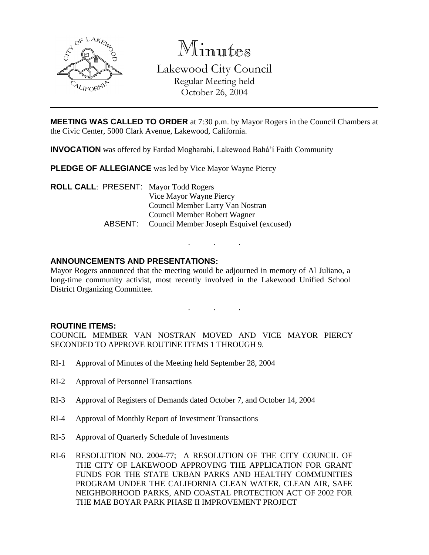

Minutes Lakewood City Council Regular Meeting held October 26, 2004

**MEETING WAS CALLED TO ORDER** at 7:30 p.m. by Mayor Rogers in the Council Chambers at the Civic Center, 5000 Clark Avenue, Lakewood, California.

**INVOCATION** was offered by Fardad Mogharabi, Lakewood Bahá'í Faith Community

**PLEDGE OF ALLEGIANCE** was led by Vice Mayor Wayne Piercy

**ROLL CALL**: PRESENT: Mayor Todd Rogers Vice Mayor Wayne Piercy Council Member Larry Van Nostran Council Member Robert Wagner ABSENT: Council Member Joseph Esquivel (excused)

### **ANNOUNCEMENTS AND PRESENTATIONS:**

Mayor Rogers announced that the meeting would be adjourned in memory of Al Juliano, a long-time community activist, most recently involved in the Lakewood Unified School District Organizing Committee.

. . .

. . .

#### **ROUTINE ITEMS:**

COUNCIL MEMBER VAN NOSTRAN MOVED AND VICE MAYOR PIERCY SECONDED TO APPROVE ROUTINE ITEMS 1 THROUGH 9.

- RI-1 Approval of Minutes of the Meeting held September 28, 2004
- RI-2 Approval of Personnel Transactions
- RI-3 Approval of Registers of Demands dated October 7, and October 14, 2004
- RI-4 Approval of Monthly Report of Investment Transactions
- RI-5 Approval of Quarterly Schedule of Investments
- RI-6 RESOLUTION NO. 2004-77; A RESOLUTION OF THE CITY COUNCIL OF THE CITY OF LAKEWOOD APPROVING THE APPLICATION FOR GRANT FUNDS FOR THE STATE URBAN PARKS AND HEALTHY COMMUNITIES PROGRAM UNDER THE CALIFORNIA CLEAN WATER, CLEAN AIR, SAFE NEIGHBORHOOD PARKS, AND COASTAL PROTECTION ACT OF 2002 FOR THE MAE BOYAR PARK PHASE II IMPROVEMENT PROJECT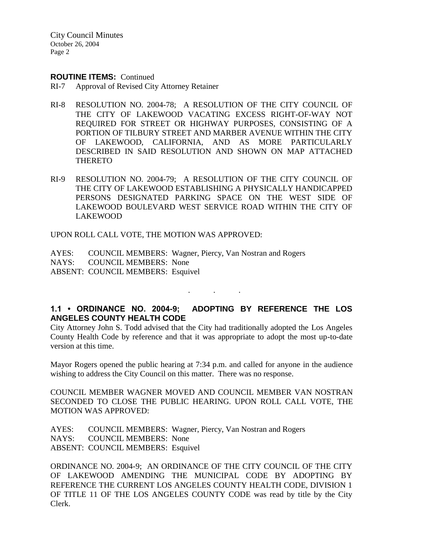City Council Minutes October 26, 2004 Page 2

#### **ROUTINE ITEMS:** Continued

- RI-7 Approval of Revised City Attorney Retainer
- RI-8 RESOLUTION NO. 2004-78; A RESOLUTION OF THE CITY COUNCIL OF THE CITY OF LAKEWOOD VACATING EXCESS RIGHT-OF-WAY NOT REQUIRED FOR STREET OR HIGHWAY PURPOSES, CONSISTING OF A PORTION OF TILBURY STREET AND MARBER AVENUE WITHIN THE CITY OF LAKEWOOD, CALIFORNIA, AND AS MORE PARTICULARLY DESCRIBED IN SAID RESOLUTION AND SHOWN ON MAP ATTACHED THERETO
- RI-9 RESOLUTION NO. 2004-79; A RESOLUTION OF THE CITY COUNCIL OF THE CITY OF LAKEWOOD ESTABLISHING A PHYSICALLY HANDICAPPED PERSONS DESIGNATED PARKING SPACE ON THE WEST SIDE OF LAKEWOOD BOULEVARD WEST SERVICE ROAD WITHIN THE CITY OF LAKEWOOD

UPON ROLL CALL VOTE, THE MOTION WAS APPROVED:

AYES: COUNCIL MEMBERS: Wagner, Piercy, Van Nostran and Rogers NAYS: COUNCIL MEMBERS: None ABSENT: COUNCIL MEMBERS: Esquivel

# **1.1 • ORDINANCE NO. 2004-9; ADOPTING BY REFERENCE THE LOS ANGELES COUNTY HEALTH CODE**

. . .

City Attorney John S. Todd advised that the City had traditionally adopted the Los Angeles County Health Code by reference and that it was appropriate to adopt the most up-to-date version at this time.

Mayor Rogers opened the public hearing at 7:34 p.m. and called for anyone in the audience wishing to address the City Council on this matter. There was no response.

COUNCIL MEMBER WAGNER MOVED AND COUNCIL MEMBER VAN NOSTRAN SECONDED TO CLOSE THE PUBLIC HEARING. UPON ROLL CALL VOTE, THE MOTION WAS APPROVED:

AYES: COUNCIL MEMBERS: Wagner, Piercy, Van Nostran and Rogers NAYS: COUNCIL MEMBERS: None ABSENT: COUNCIL MEMBERS: Esquivel

ORDINANCE NO. 2004-9; AN ORDINANCE OF THE CITY COUNCIL OF THE CITY OF LAKEWOOD AMENDING THE MUNICIPAL CODE BY ADOPTING BY REFERENCE THE CURRENT LOS ANGELES COUNTY HEALTH CODE, DIVISION 1 OF TITLE 11 OF THE LOS ANGELES COUNTY CODE was read by title by the City Clerk.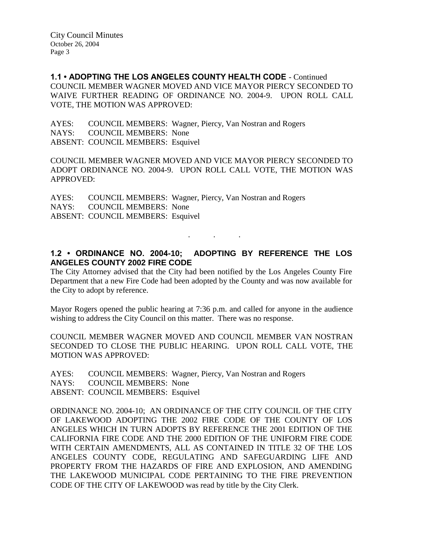**1.1 • ADOPTING THE LOS ANGELES COUNTY HEALTH CODE** - Continued COUNCIL MEMBER WAGNER MOVED AND VICE MAYOR PIERCY SECONDED TO WAIVE FURTHER READING OF ORDINANCE NO. 2004-9. UPON ROLL CALL VOTE, THE MOTION WAS APPROVED:

AYES: COUNCIL MEMBERS: Wagner, Piercy, Van Nostran and Rogers NAYS: COUNCIL MEMBERS: None ABSENT: COUNCIL MEMBERS: Esquivel

COUNCIL MEMBER WAGNER MOVED AND VICE MAYOR PIERCY SECONDED TO ADOPT ORDINANCE NO. 2004-9. UPON ROLL CALL VOTE, THE MOTION WAS APPROVED:

AYES: COUNCIL MEMBERS: Wagner, Piercy, Van Nostran and Rogers NAYS: COUNCIL MEMBERS: None ABSENT: COUNCIL MEMBERS: Esquivel

# **1.2 • ORDINANCE NO. 2004-10; ADOPTING BY REFERENCE THE LOS ANGELES COUNTY 2002 FIRE CODE**

. . .

The City Attorney advised that the City had been notified by the Los Angeles County Fire Department that a new Fire Code had been adopted by the County and was now available for the City to adopt by reference.

Mayor Rogers opened the public hearing at 7:36 p.m. and called for anyone in the audience wishing to address the City Council on this matter. There was no response.

COUNCIL MEMBER WAGNER MOVED AND COUNCIL MEMBER VAN NOSTRAN SECONDED TO CLOSE THE PUBLIC HEARING. UPON ROLL CALL VOTE, THE MOTION WAS APPROVED:

AYES: COUNCIL MEMBERS: Wagner, Piercy, Van Nostran and Rogers NAYS: COUNCIL MEMBERS: None ABSENT: COUNCIL MEMBERS: Esquivel

ORDINANCE NO. 2004-10; AN ORDINANCE OF THE CITY COUNCIL OF THE CITY OF LAKEWOOD ADOPTING THE 2002 FIRE CODE OF THE COUNTY OF LOS ANGELES WHICH IN TURN ADOPTS BY REFERENCE THE 2001 EDITION OF THE CALIFORNIA FIRE CODE AND THE 2000 EDITION OF THE UNIFORM FIRE CODE WITH CERTAIN AMENDMENTS, ALL AS CONTAINED IN TITLE 32 OF THE LOS ANGELES COUNTY CODE, REGULATING AND SAFEGUARDING LIFE AND PROPERTY FROM THE HAZARDS OF FIRE AND EXPLOSION, AND AMENDING THE LAKEWOOD MUNICIPAL CODE PERTAINING TO THE FIRE PREVENTION CODE OF THE CITY OF LAKEWOOD was read by title by the City Clerk.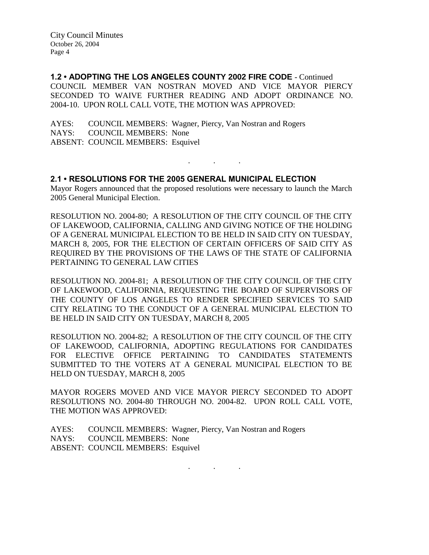**1.2 • ADOPTING THE LOS ANGELES COUNTY 2002 FIRE CODE** - Continued COUNCIL MEMBER VAN NOSTRAN MOVED AND VICE MAYOR PIERCY SECONDED TO WAIVE FURTHER READING AND ADOPT ORDINANCE NO. 2004-10. UPON ROLL CALL VOTE, THE MOTION WAS APPROVED:

AYES: COUNCIL MEMBERS: Wagner, Piercy, Van Nostran and Rogers NAYS: COUNCIL MEMBERS: None ABSENT: COUNCIL MEMBERS: Esquivel

### **2.1 • RESOLUTIONS FOR THE 2005 GENERAL MUNICIPAL ELECTION**

Mayor Rogers announced that the proposed resolutions were necessary to launch the March 2005 General Municipal Election.

. . .

RESOLUTION NO. 2004-80; A RESOLUTION OF THE CITY COUNCIL OF THE CITY OF LAKEWOOD, CALIFORNIA, CALLING AND GIVING NOTICE OF THE HOLDING OF A GENERAL MUNICIPAL ELECTION TO BE HELD IN SAID CITY ON TUESDAY, MARCH 8, 2005, FOR THE ELECTION OF CERTAIN OFFICERS OF SAID CITY AS REQUIRED BY THE PROVISIONS OF THE LAWS OF THE STATE OF CALIFORNIA PERTAINING TO GENERAL LAW CITIES

RESOLUTION NO. 2004-81; A RESOLUTION OF THE CITY COUNCIL OF THE CITY OF LAKEWOOD, CALIFORNIA, REQUESTING THE BOARD OF SUPERVISORS OF THE COUNTY OF LOS ANGELES TO RENDER SPECIFIED SERVICES TO SAID CITY RELATING TO THE CONDUCT OF A GENERAL MUNICIPAL ELECTION TO BE HELD IN SAID CITY ON TUESDAY, MARCH 8, 2005

RESOLUTION NO. 2004-82; A RESOLUTION OF THE CITY COUNCIL OF THE CITY OF LAKEWOOD, CALIFORNIA, ADOPTING REGULATIONS FOR CANDIDATES FOR ELECTIVE OFFICE PERTAINING TO CANDIDATES STATEMENTS SUBMITTED TO THE VOTERS AT A GENERAL MUNICIPAL ELECTION TO BE HELD ON TUESDAY, MARCH 8, 2005

MAYOR ROGERS MOVED AND VICE MAYOR PIERCY SECONDED TO ADOPT RESOLUTIONS NO. 2004-80 THROUGH NO. 2004-82. UPON ROLL CALL VOTE, THE MOTION WAS APPROVED:

AYES: COUNCIL MEMBERS: Wagner, Piercy, Van Nostran and Rogers NAYS: COUNCIL MEMBERS: None ABSENT: COUNCIL MEMBERS: Esquivel

. . .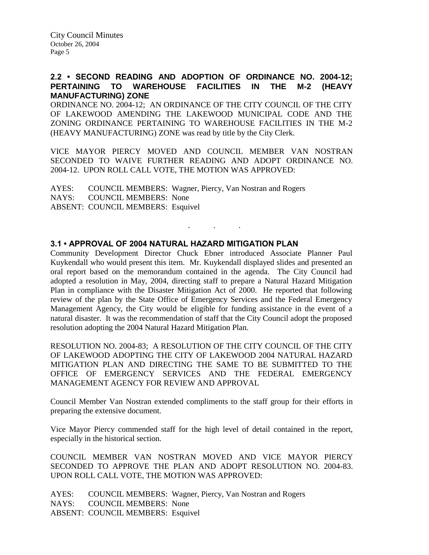### **2.2 • SECOND READING AND ADOPTION OF ORDINANCE NO. 2004-12; PERTAINING TO WAREHOUSE FACILITIES IN THE M-2 (HEAVY MANUFACTURING) ZONE**

ORDINANCE NO. 2004-12; AN ORDINANCE OF THE CITY COUNCIL OF THE CITY OF LAKEWOOD AMENDING THE LAKEWOOD MUNICIPAL CODE AND THE ZONING ORDINANCE PERTAINING TO WAREHOUSE FACILITIES IN THE M-2 (HEAVY MANUFACTURING) ZONE was read by title by the City Clerk.

VICE MAYOR PIERCY MOVED AND COUNCIL MEMBER VAN NOSTRAN SECONDED TO WAIVE FURTHER READING AND ADOPT ORDINANCE NO. 2004-12. UPON ROLL CALL VOTE, THE MOTION WAS APPROVED:

. . .

AYES: COUNCIL MEMBERS: Wagner, Piercy, Van Nostran and Rogers NAYS: COUNCIL MEMBERS: None ABSENT: COUNCIL MEMBERS: Esquivel

### **3.1 • APPROVAL OF 2004 NATURAL HAZARD MITIGATION PLAN**

Community Development Director Chuck Ebner introduced Associate Planner Paul Kuykendall who would present this item. Mr. Kuykendall displayed slides and presented an oral report based on the memorandum contained in the agenda. The City Council had adopted a resolution in May, 2004, directing staff to prepare a Natural Hazard Mitigation Plan in compliance with the Disaster Mitigation Act of 2000. He reported that following review of the plan by the State Office of Emergency Services and the Federal Emergency Management Agency, the City would be eligible for funding assistance in the event of a natural disaster. It was the recommendation of staff that the City Council adopt the proposed resolution adopting the 2004 Natural Hazard Mitigation Plan.

RESOLUTION NO. 2004-83; A RESOLUTION OF THE CITY COUNCIL OF THE CITY OF LAKEWOOD ADOPTING THE CITY OF LAKEWOOD 2004 NATURAL HAZARD MITIGATION PLAN AND DIRECTING THE SAME TO BE SUBMITTED TO THE OFFICE OF EMERGENCY SERVICES AND THE FEDERAL EMERGENCY MANAGEMENT AGENCY FOR REVIEW AND APPROVAL

Council Member Van Nostran extended compliments to the staff group for their efforts in preparing the extensive document.

Vice Mayor Piercy commended staff for the high level of detail contained in the report, especially in the historical section.

COUNCIL MEMBER VAN NOSTRAN MOVED AND VICE MAYOR PIERCY SECONDED TO APPROVE THE PLAN AND ADOPT RESOLUTION NO. 2004-83. UPON ROLL CALL VOTE, THE MOTION WAS APPROVED:

AYES: COUNCIL MEMBERS: Wagner, Piercy, Van Nostran and Rogers NAYS: COUNCIL MEMBERS: None ABSENT: COUNCIL MEMBERS: Esquivel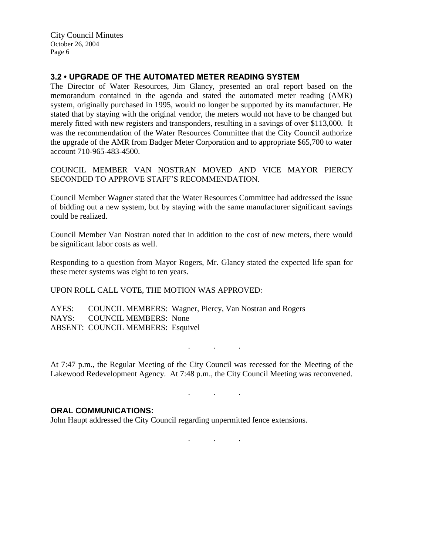City Council Minutes October 26, 2004 Page 6

## **3.2 • UPGRADE OF THE AUTOMATED METER READING SYSTEM**

The Director of Water Resources, Jim Glancy, presented an oral report based on the memorandum contained in the agenda and stated the automated meter reading (AMR) system, originally purchased in 1995, would no longer be supported by its manufacturer. He stated that by staying with the original vendor, the meters would not have to be changed but merely fitted with new registers and transponders, resulting in a savings of over \$113,000. It was the recommendation of the Water Resources Committee that the City Council authorize the upgrade of the AMR from Badger Meter Corporation and to appropriate \$65,700 to water account 710-965-483-4500.

COUNCIL MEMBER VAN NOSTRAN MOVED AND VICE MAYOR PIERCY SECONDED TO APPROVE STAFF'S RECOMMENDATION.

Council Member Wagner stated that the Water Resources Committee had addressed the issue of bidding out a new system, but by staying with the same manufacturer significant savings could be realized.

Council Member Van Nostran noted that in addition to the cost of new meters, there would be significant labor costs as well.

Responding to a question from Mayor Rogers, Mr. Glancy stated the expected life span for these meter systems was eight to ten years.

UPON ROLL CALL VOTE, THE MOTION WAS APPROVED:

AYES: COUNCIL MEMBERS: Wagner, Piercy, Van Nostran and Rogers NAYS: COUNCIL MEMBERS: None ABSENT: COUNCIL MEMBERS: Esquivel

At 7:47 p.m., the Regular Meeting of the City Council was recessed for the Meeting of the Lakewood Redevelopment Agency. At 7:48 p.m., the City Council Meeting was reconvened.

. . .

. . .

#### **ORAL COMMUNICATIONS:**

John Haupt addressed the City Council regarding unpermitted fence extensions.

. . .